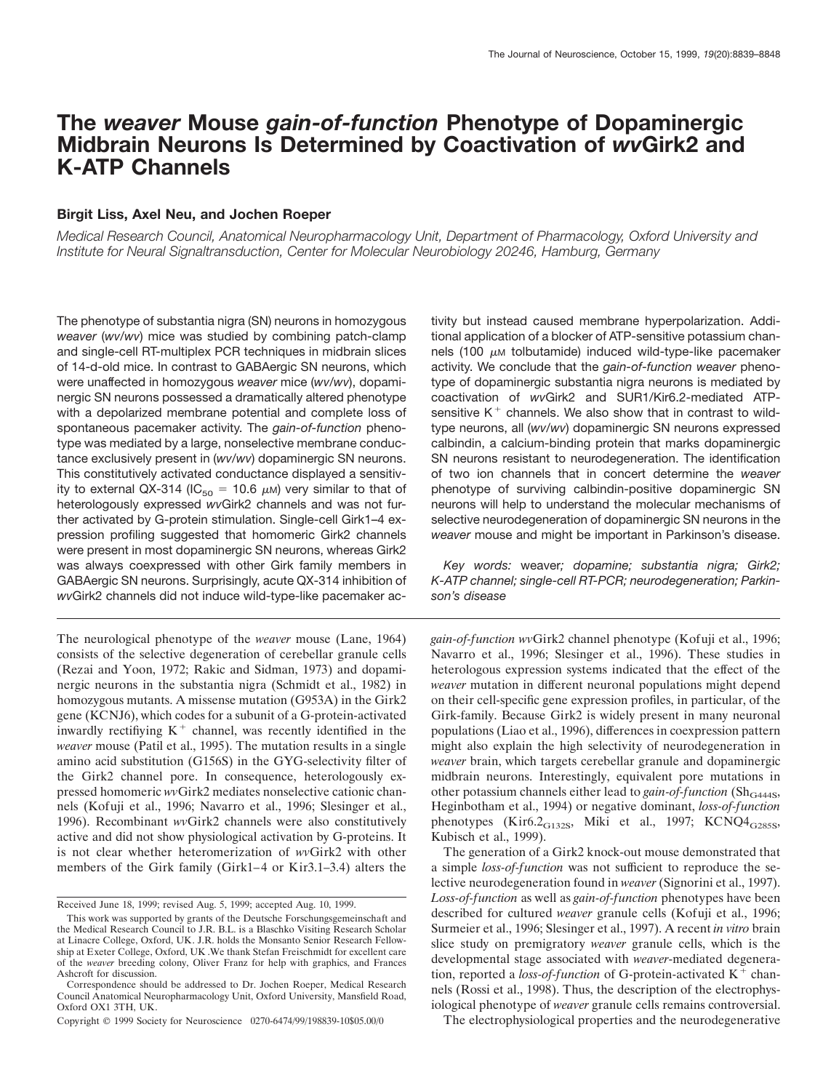# **The** *weaver* **Mouse** *gain-of-function* **Phenotype of Dopaminergic Midbrain Neurons Is Determined by Coactivation of** *wv***Girk2 and K-ATP Channels**

## **Birgit Liss, Axel Neu, and Jochen Roeper**

*Medical Research Council, Anatomical Neuropharmacology Unit, Department of Pharmacology, Oxford University and Institute for Neural Signaltransduction, Center for Molecular Neurobiology 20246, Hamburg, Germany*

The phenotype of substantia nigra (SN) neurons in homozygous *weaver* (*wv/wv*) mice was studied by combining patch-clamp and single-cell RT-multiplex PCR techniques in midbrain slices of 14-d-old mice. In contrast to GABAergic SN neurons, which were unaffected in homozygous *weaver* mice (*wv/wv*), dopaminergic SN neurons possessed a dramatically altered phenotype with a depolarized membrane potential and complete loss of spontaneous pacemaker activity. The *gain-of-function* phenotype was mediated by a large, nonselective membrane conductance exclusively present in (*wv/wv*) dopaminergic SN neurons. This constitutively activated conductance displayed a sensitivity to external QX-314 (IC<sub>50</sub> = 10.6  $\mu$ M) very similar to that of heterologously expressed *wv*Girk2 channels and was not further activated by G-protein stimulation. Single-cell Girk1–4 expression profiling suggested that homomeric Girk2 channels were present in most dopaminergic SN neurons, whereas Girk2 was always coexpressed with other Girk family members in GABAergic SN neurons. Surprisingly, acute QX-314 inhibition of *wv*Girk2 channels did not induce wild-type-like pacemaker ac-

The neurological phenotype of the *weaver* mouse (Lane, 1964) consists of the selective degeneration of cerebellar granule cells (Rezai and Yoon, 1972; Rakic and Sidman, 1973) and dopaminergic neurons in the substantia nigra (Schmidt et al., 1982) in homozygous mutants. A missense mutation (G953A) in the Girk2 gene (KCNJ6), which codes for a subunit of a G-protein-activated inwardly rectifiying  $K^+$  channel, was recently identified in the *weaver* mouse (Patil et al., 1995). The mutation results in a single amino acid substitution (G156S) in the GYG-selectivity filter of the Girk2 channel pore. In consequence, heterologously expressed homomeric *wv*Girk2 mediates nonselective cationic channels (Kofuji et al., 1996; Navarro et al., 1996; Slesinger et al., 1996). Recombinant *wv*Girk2 channels were also constitutively active and did not show physiological activation by G-proteins. It is not clear whether heteromerization of *wv*Girk2 with other members of the Girk family (Girk1–4 or Kir3.1–3.4) alters the tivity but instead caused membrane hyperpolarization. Additional application of a blocker of ATP-sensitive potassium channels (100  $\mu$ M tolbutamide) induced wild-type-like pacemaker activity. We conclude that the *gain-of-function weaver* phenotype of dopaminergic substantia nigra neurons is mediated by coactivation of *wv*Girk2 and SUR1/Kir6.2-mediated ATPsensitive  $K^+$  channels. We also show that in contrast to wildtype neurons, all (*wv/wv*) dopaminergic SN neurons expressed calbindin, a calcium-binding protein that marks dopaminergic SN neurons resistant to neurodegeneration. The identification of two ion channels that in concert determine the *weaver* phenotype of surviving calbindin-positive dopaminergic SN neurons will help to understand the molecular mechanisms of selective neurodegeneration of dopaminergic SN neurons in the *weaver* mouse and might be important in Parkinson's disease.

*Key words:* weaver*; dopamine; substantia nigra; Girk2; K-ATP channel; single-cell RT-PCR; neurodegeneration; Parkinson's disease*

*gain-of-function wv*Girk2 channel phenotype (Kofuji et al., 1996; Navarro et al., 1996; Slesinger et al., 1996). These studies in heterologous expression systems indicated that the effect of the *weaver* mutation in different neuronal populations might depend on their cell-specific gene expression profiles, in particular, of the Girk-family. Because Girk2 is widely present in many neuronal populations (Liao et al., 1996), differences in coexpression pattern might also explain the high selectivity of neurodegeneration in *weaver* brain, which targets cerebellar granule and dopaminergic midbrain neurons. Interestingly, equivalent pore mutations in other potassium channels either lead to *gain-of-function* (Sh<sub>G444S</sub>, Heginbotham et al., 1994) or negative dominant, *loss-of-function* phenotypes (Kir6.2<sub>G132S</sub>, Miki et al., 1997; KCNQ4<sub>G285S</sub>, Kubisch et al., 1999).

The generation of a Girk2 knock-out mouse demonstrated that a simple *loss-of-function* was not sufficient to reproduce the selective neurodegeneration found in *weaver* (Signorini et al., 1997). *Loss-of-function* as well as *gain-of-function* phenotypes have been described for cultured *weaver* granule cells (Kofuji et al., 1996; Surmeier et al., 1996; Slesinger et al., 1997). A recent *in vitro* brain slice study on premigratory *weaver* granule cells, which is the developmental stage associated with *weaver*-mediated degeneration, reported a *loss-of-function* of G-protein-activated  $K^+$  channels (Rossi et al., 1998). Thus, the description of the electrophysiological phenotype of *weaver* granule cells remains controversial.

The electrophysiological properties and the neurodegenerative

Received June 18, 1999; revised Aug. 5, 1999; accepted Aug. 10, 1999.

This work was supported by grants of the Deutsche Forschungsgemeinschaft and the Medical Research Council to J.R. B.L. is a Blaschko Visiting Research Scholar at Linacre College, Oxford, UK. J.R. holds the Monsanto Senior Research Fellowship at Exeter College, Oxford, UK .We thank Stefan Freischmidt for excellent care of the *weaver* breeding colony, Oliver Franz for help with graphics, and Frances Ashcroft for discussion.

Correspondence should be addressed to Dr. Jochen Roeper, Medical Research Council Anatomical Neuropharmacology Unit, Oxford University, Mansfield Road, Oxford OX1 3TH, UK.

Copyright © 1999 Society for Neuroscience 0270-6474/99/198839-10\$05.00/0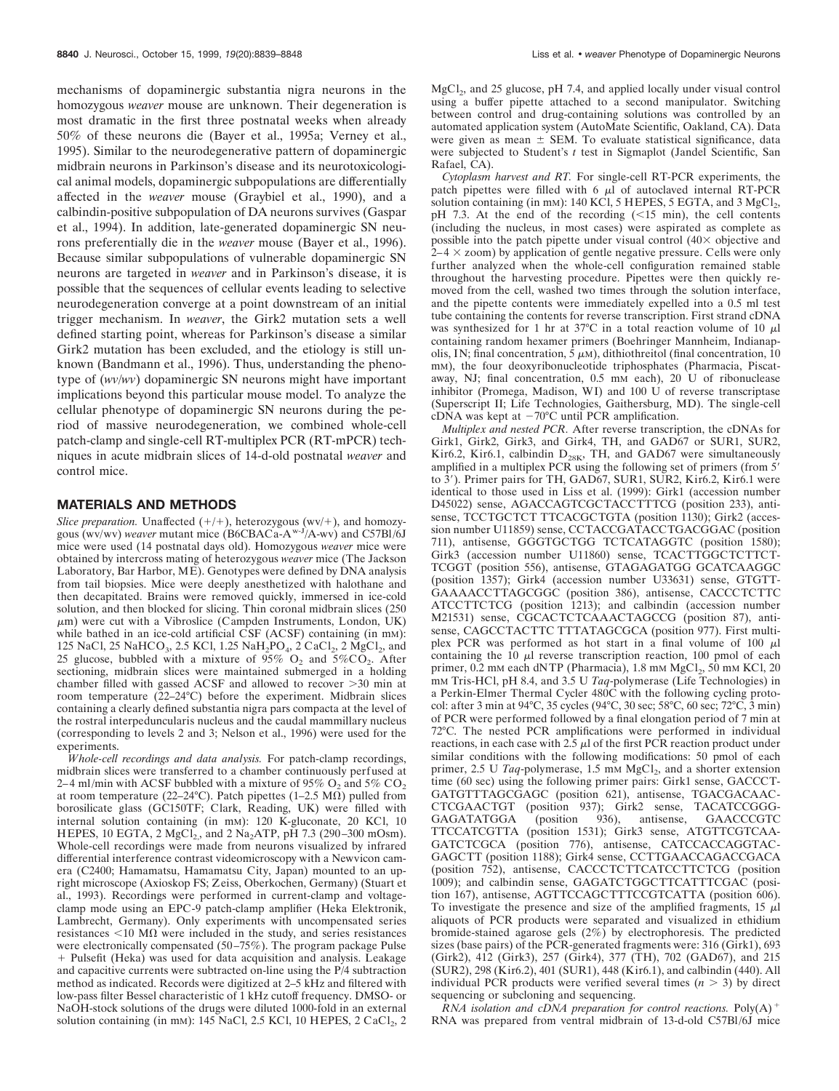mechanisms of dopaminergic substantia nigra neurons in the homozygous *weaver* mouse are unknown. Their degeneration is most dramatic in the first three postnatal weeks when already 50% of these neurons die (Bayer et al., 1995a; Verney et al., 1995). Similar to the neurodegenerative pattern of dopaminergic midbrain neurons in Parkinson's disease and its neurotoxicological animal models, dopaminergic subpopulations are differentially affected in the *weaver* mouse (Graybiel et al., 1990), and a calbindin-positive subpopulation of DA neurons survives (Gaspar et al., 1994). In addition, late-generated dopaminergic SN neurons preferentially die in the *weaver* mouse (Bayer et al., 1996). Because similar subpopulations of vulnerable dopaminergic SN neurons are targeted in *weaver* and in Parkinson's disease, it is possible that the sequences of cellular events leading to selective neurodegeneration converge at a point downstream of an initial trigger mechanism. In *weaver*, the Girk2 mutation sets a well defined starting point, whereas for Parkinson's disease a similar Girk2 mutation has been excluded, and the etiology is still unknown (Bandmann et al., 1996). Thus, understanding the phenotype of (*wv/wv*) dopaminergic SN neurons might have important implications beyond this particular mouse model. To analyze the cellular phenotype of dopaminergic SN neurons during the period of massive neurodegeneration, we combined whole-cell patch-clamp and single-cell RT-multiplex PCR (RT-mPCR) techniques in acute midbrain slices of 14-d-old postnatal *weaver* and control mice.

## **MATERIALS AND METHODS**

*Slice preparation.* Unaffected  $(+/+)$ , heterozygous  $(wv/+)$ , and homozygous (wv/wv) *weaver* mutant mice (B6CBACa-Aw-J/A-wv) and C57Bl/6J mice were used (14 postnatal days old). Homozygous *weaver* mice were obtained by intercross mating of heterozygous *weaver* mice (The Jackson Laboratory, Bar Harbor, ME). Genotypes were defined by DNA analysis from tail biopsies. Mice were deeply anesthetized with halothane and then decapitated. Brains were removed quickly, immersed in ice-cold solution, and then blocked for slicing. Thin coronal midbrain slices (250  $\mu$ m) were cut with a Vibroslice (Campden Instruments, London, UK) while bathed in an ice-cold artificial CSF (ACSF) containing (in mm): 125 NaCl, 25 NaHCO<sub>3</sub>, 2.5 KCl, 1.25 NaH<sub>2</sub>PO<sub>4</sub>, 2 CaCl<sub>2</sub>, 2 MgCl<sub>2</sub>, and 25 glucose, bubbled with a mixture of 95%  $O_2$  and 5% $CO_2$ . After sectioning, midbrain slices were maintained submerged in a holding chamber filled with gassed ACSF and allowed to recover  $>30$  min at room temperature (22–24°C) before the experiment. Midbrain slices containing a clearly defined substantia nigra pars compacta at the level of the rostral interpeduncularis nucleus and the caudal mammillary nucleus (corresponding to levels 2 and 3; Nelson et al., 1996) were used for the experiments.

*Whole-cell recordings and data analysis.* For patch-clamp recordings, midbrain slices were transferred to a chamber continuously perfused at 2–4 ml/min with ACSF bubbled with a mixture of 95%  $O_2$  and 5%  $CO_2$ . at room temperature (22–24°C). Patch pipettes (1–2.5 M $\Omega$ ) pulled from borosilicate glass (GC150TF; Clark, Reading, UK) were filled with internal solution containing (in mM): 120 K-gluconate, 20 KCl, 10 HEPES, 10 EGTA, 2  $MgCl<sub>2</sub>$ , and 2 Na<sub>2</sub>ATP, pH 7.3 (290–300 mOsm). Whole-cell recordings were made from neurons visualized by infrared differential interference contrast videomicroscopy with a Newvicon camera (C2400; Hamamatsu, Hamamatsu City, Japan) mounted to an upright microscope (Axioskop FS; Zeiss, Oberkochen, Germany) (Stuart et al., 1993). Recordings were performed in current-clamp and voltageclamp mode using an EPC-9 patch-clamp amplifier (Heka Elektronik, Lambrecht, Germany). Only experiments with uncompensated series resistances  $<$ 10 M $\Omega$  were included in the study, and series resistances were electronically compensated (50–75%). The program package Pulse 1 Pulsefit (Heka) was used for data acquisition and analysis. Leakage and capacitive currents were subtracted on-line using the P/4 subtraction method as indicated. Records were digitized at 2–5 kHz and filtered with low-pass filter Bessel characteristic of 1 kHz cutoff frequency. DMSO- or NaOH-stock solutions of the drugs were diluted 1000-fold in an external solution containing (in mm):  $145$  NaCl,  $2.5$  KCl,  $10$  HEPES,  $2$  CaCl<sub>2</sub>,  $2$   $MgCl<sub>2</sub>$ , and 25 glucose, pH 7.4, and applied locally under visual control using a buffer pipette attached to a second manipulator. Switching between control and drug-containing solutions was controlled by an automated application system (AutoMate Scientific, Oakland, CA). Data were given as mean  $\pm$  SEM. To evaluate statistical significance, data were subjected to Student's *t* test in Sigmaplot (Jandel Scientific, San Rafael, CA).

*Cytoplasm harvest and RT.* For single-cell RT-PCR experiments, the patch pipettes were filled with  $6 \mu l$  of autoclaved internal RT-PCR solution containing (in mm): 140 KCl, 5 HEPES, 5 EGTA, and 3  $MgCl<sub>2</sub>$ , pH 7.3. At the end of the recording  $(\leq 15 \text{ min})$ , the cell contents (including the nucleus, in most cases) were aspirated as complete as possible into the patch pipette under visual control  $(40 \times$  objective and  $2-4 \times$  zoom) by application of gentle negative pressure. Cells were only further analyzed when the whole-cell configuration remained stable throughout the harvesting procedure. Pipettes were then quickly removed from the cell, washed two times through the solution interface, and the pipette contents were immediately expelled into a 0.5 ml test tube containing the contents for reverse transcription. First strand cDNA was synthesized for 1 hr at  $37^{\circ}$ C in a total reaction volume of 10  $\mu$ l containing random hexamer primers (Boehringer Mannheim, Indianapolis, IN; final concentration,  $\overline{5} \mu$ M), dithiothreitol (final concentration, 10 mM), the four deoxyribonucleotide triphosphates (Pharmacia, Piscataway, NJ; final concentration, 0.5 mM each), 20 U of ribonuclease inhibitor (Promega, Madison, WI) and 100 U of reverse transcriptase (Superscript II; Life Technologies, Gaithersburg, MD). The single-cell cDNA was kept at  $-70^{\circ}$ C until PCR amplification.

*Multiplex and nested PCR.* After reverse transcription, the cDNAs for Girk1, Girk2, Girk3, and Girk4, TH, and GAD67 or SUR1, SUR2, Kir6.2, Kir6.1, calbindin  $D_{28K}$ , TH, and GAD67 were simultaneously amplified in a multiplex PCR using the following set of primers (from  $5'$ ) to  $3'$ ). Primer pairs for TH, GAD67, SUR1, SUR2, Kir6.2, Kir6.1 were identical to those used in Liss et al. (1999): Girk1 (accession number D45022) sense, AGACCAGTCGCTACCTTTCG (position 233), antisense, TCCTGCTCT TTCACGCTGTA (position 1130); Girk2 (accession number U11859) sense, CCTACCGATACCTGACGGAC (position 711), antisense, GGGTGCTGG TCTCATAGGTC (position 1580); Girk3 (accession number U11860) sense, TCACTTGGCTCTTCT-TCGGT (position 556), antisense, GTAGAGATGG GCATCAAGGC (position 1357); Girk4 (accession number U33631) sense, GTGTT-GAAAACCTTAGCGGC (position 386), antisense, CACCCTCTTC ATCCTTCTCG (position 1213); and calbindin (accession number M21531) sense, CGCACTCTCAAACTAGCCG (position 87), antisense, CAGCCTACTTC TTTATAGCGCA (position 977). First multiplex PCR was performed as hot start in a final volume of 100  $\mu$ l containing the 10  $\mu$ l reverse transcription reaction, 100 pmol of each primer,  $0.\overline{2}$  mm each dNTP (Pharmacia),  $1.8$  mm  $MgCl<sub>2</sub>$ ,  $50$  mm KCl,  $20$ mM Tris-HCl, pH 8.4, and 3.5 U *Taq*-polymerase (Life Technologies) in a Perkin-Elmer Thermal Cycler 480C with the following cycling protocol: after 3 min at 94°C, 35 cycles (94°C, 30 sec; 58°C, 60 sec; 72°C, 3 min) of PCR were performed followed by a final elongation period of 7 min at 72°C. The nested PCR amplifications were performed in individual reactions, in each case with 2.5  $\mu$ l of the first PCR reaction product under similar conditions with the following modifications: 50 pmol of each primer,  $2.5$  U *Taq*-polymerase,  $1.5$  mM  $MgCl<sub>2</sub>$ , and a shorter extension time (60 sec) using the following primer pairs: Girk1 sense, GACCCT-GATGTTTAGCGAGC (position 621), antisense, TGACGACAAC-CTCGAACTGT (position 937); Girk2 sense, TACATCCGGG-GAGATATGGA (position 936), antisense, GAACCCGTC TTCCATCGTTA (position 1531); Girk3 sense, ATGTTCGTCAA-GATCTCGCA (position 776), antisense, CATCCACCAGGTAC-GAGCTT (position 1188); Girk4 sense, CCTTGAACCAGACCGACA (position 752), antisense, CACCCTCTTCATCCTTCTCG (position 1009); and calbindin sense, GAGATCTGGCTTCATTTCGAC (position 167), antisense, AGTTCCAGCTTTCCGTCATTA (position 606). To investigate the presence and size of the amplified fragments,  $15 \mu l$ aliquots of PCR products were separated and visualized in ethidium bromide-stained agarose gels (2%) by electrophoresis. The predicted sizes (base pairs) of the PCR-generated fragments were: 316 (Girk1), 693 (Girk2), 412 (Girk3), 257 (Girk4), 377 (TH), 702 (GAD67), and 215 (SUR2), 298 (Kir6.2), 401 (SUR1), 448 (Kir6.1), and calbindin (440). All individual PCR products were verified several times  $(n > 3)$  by direct sequencing or subcloning and sequencing.

*RNA isolation and cDNA preparation for control reactions.* Poly $(A)$ <sup>+</sup> RNA was prepared from ventral midbrain of 13-d-old C57Bl/6J mice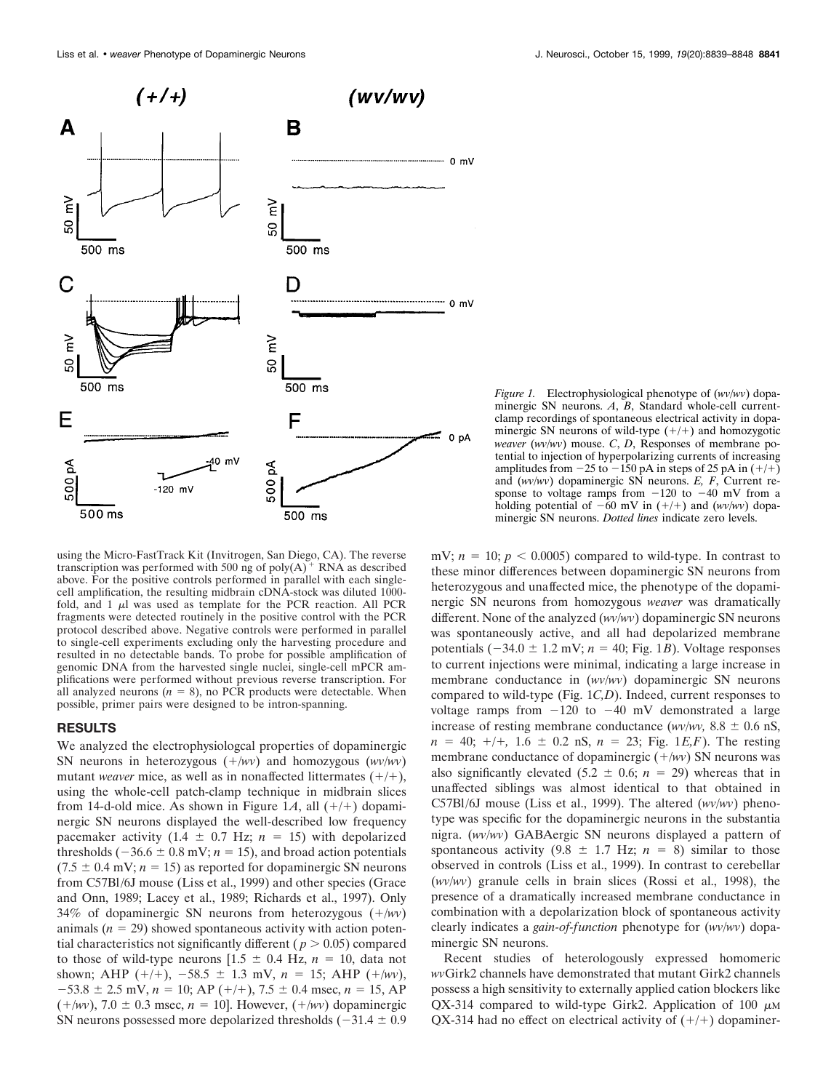

using the Micro-FastTrack Kit (Invitrogen, San Diego, CA). The reverse transcription was performed with 500 ng of poly $(A)^+$  RNA as described above. For the positive controls performed in parallel with each singlecell amplification, the resulting midbrain cDNA-stock was diluted 1000 fold, and  $1 \mu l$  was used as template for the PCR reaction. All PCR fragments were detected routinely in the positive control with the PCR protocol described above. Negative controls were performed in parallel to single-cell experiments excluding only the harvesting procedure and resulted in no detectable bands. To probe for possible amplification of genomic DNA from the harvested single nuclei, single-cell mPCR amplifications were performed without previous reverse transcription. For all analyzed neurons  $(n = 8)$ , no PCR products were detectable. When possible, primer pairs were designed to be intron-spanning.

#### **RESULTS**

We analyzed the electrophysiologcal properties of dopaminergic SN neurons in heterozygous  $(+/wv)$  and homozygous  $(wv/ wv)$ mutant *weaver* mice, as well as in nonaffected littermates  $(+/+)$ , using the whole-cell patch-clamp technique in midbrain slices from 14-d-old mice. As shown in Figure 1A, all  $(+/+)$  dopaminergic SN neurons displayed the well-described low frequency pacemaker activity (1.4  $\pm$  0.7 Hz; *n* = 15) with depolarized thresholds ( $-36.6 \pm 0.8$  mV;  $n = 15$ ), and broad action potentials  $(7.5 \pm 0.4 \text{ mV}; n = 15)$  as reported for dopaminergic SN neurons from C57Bl/6J mouse (Liss et al., 1999) and other species (Grace and Onn, 1989; Lacey et al., 1989; Richards et al., 1997). Only 34% of dopaminergic SN neurons from heterozygous  $(+/wv)$ animals  $(n = 29)$  showed spontaneous activity with action potential characteristics not significantly different ( $p > 0.05$ ) compared to those of wild-type neurons  $[1.5 \pm 0.4 \text{ Hz}, n = 10, \text{ data not}]$ shown; AHP  $(+/+)$ ,  $-58.5 \pm 1.3$  mV,  $n = 15$ ; AHP  $(+/wv)$ ,  $-53.8 \pm 2.5$  mV,  $n = 10$ ; AP (+/+),  $7.5 \pm 0.4$  msec,  $n = 15$ , AP  $(+/wv)$ , 7.0  $\pm$  0.3 msec,  $n = 10$ ]. However,  $(+/wv)$  dopaminergic SN neurons possessed more depolarized thresholds  $(-31.4 \pm 0.9$ 

*Figure 1.* Electrophysiological phenotype of (*wv/wv*) dopaminergic SN neurons. *A*, *B*, Standard whole-cell currentclamp recordings of spontaneous electrical activity in dopaminergic SN neurons of wild-type  $(+/+)$  and homozygotic *weaver* (*wv/wv*) mouse. *C*, *D*, Responses of membrane potential to injection of hyperpolarizing currents of increasing amplitudes from  $-25$  to  $-150$  pA in steps of 25 pA in  $(+/+)$ and (*wv/wv*) dopaminergic SN neurons. *E, F*, Current response to voltage ramps from  $-120$  to  $-40$  mV from a holding potential of  $-60$  mV in  $(+/+)$  and  $(wv/ww)$  dopaminergic SN neurons. *Dotted lines* indicate zero levels.

mV;  $n = 10$ ;  $p < 0.0005$ ) compared to wild-type. In contrast to these minor differences between dopaminergic SN neurons from heterozygous and unaffected mice, the phenotype of the dopaminergic SN neurons from homozygous *weaver* was dramatically different. None of the analyzed (*wv/wv*) dopaminergic SN neurons was spontaneously active, and all had depolarized membrane potentials  $(-34.0 \pm 1.2 \text{ mV}; n = 40;$  Fig. 1*B*). Voltage responses to current injections were minimal, indicating a large increase in membrane conductance in (*wv/wv*) dopaminergic SN neurons compared to wild-type (Fig. 1*C,D*). Indeed, current responses to voltage ramps from  $-120$  to  $-40$  mV demonstrated a large increase of resting membrane conductance ( $wv/ww$ , 8.8  $\pm$  0.6 nS,  $n = 40$ ;  $+/+$ , 1.6  $\pm$  0.2 nS,  $n = 23$ ; Fig. 1*E,F*). The resting membrane conductance of dopaminergic  $(+/wv)$  SN neurons was also significantly elevated  $(5.2 \pm 0.6; n = 29)$  whereas that in unaffected siblings was almost identical to that obtained in C57Bl/6J mouse (Liss et al., 1999). The altered (*wv/wv*) phenotype was specific for the dopaminergic neurons in the substantia nigra. (*wv/wv*) GABAergic SN neurons displayed a pattern of spontaneous activity  $(9.8 \pm 1.7 \text{ Hz}; n = 8)$  similar to those observed in controls (Liss et al., 1999). In contrast to cerebellar (*wv/wv*) granule cells in brain slices (Rossi et al., 1998), the presence of a dramatically increased membrane conductance in combination with a depolarization block of spontaneous activity clearly indicates a *gain-of-function* phenotype for (*wv/wv*) dopaminergic SN neurons.

Recent studies of heterologously expressed homomeric *wv*Girk2 channels have demonstrated that mutant Girk2 channels possess a high sensitivity to externally applied cation blockers like QX-314 compared to wild-type Girk2. Application of 100  $\mu$ M  $QX-314$  had no effect on electrical activity of  $(+/+)$  dopaminer-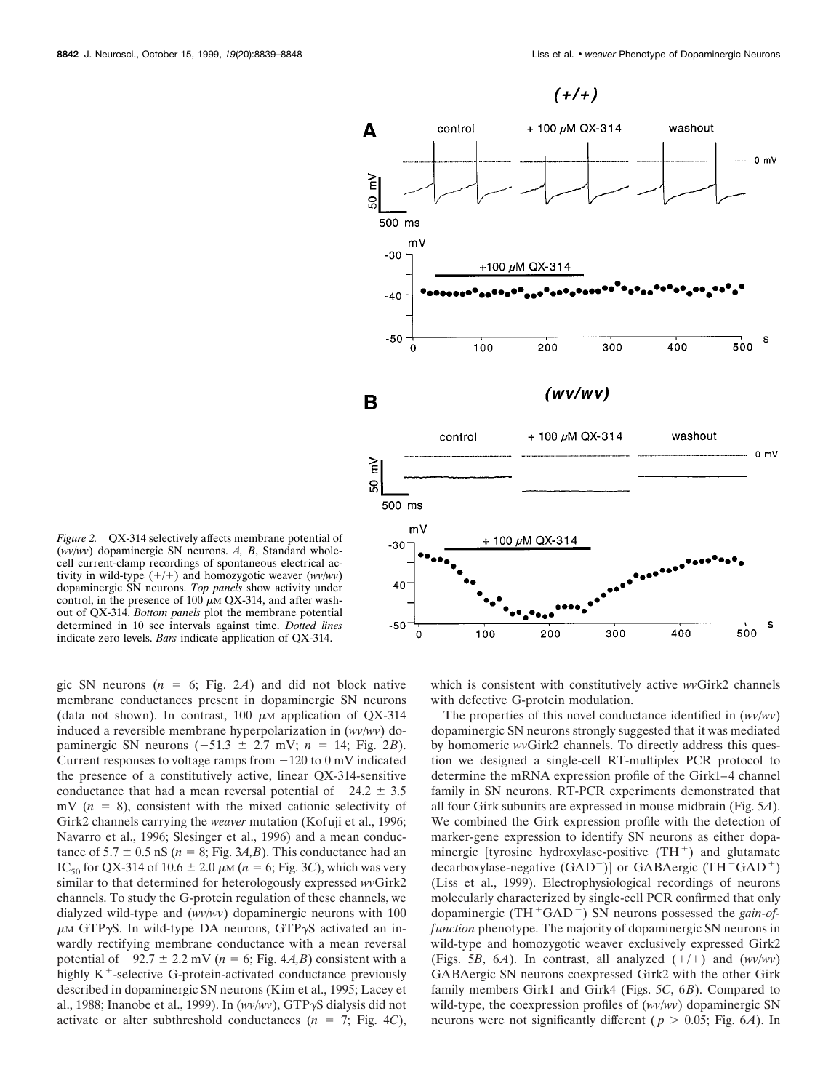

*Figure 2.* QX-314 selectively affects membrane potential of (*wv/wv*) dopaminergic SN neurons. *A, B*, Standard wholecell current-clamp recordings of spontaneous electrical activity in wild-type  $(+/+)$  and homozygotic weaver  $(wv/wv)$ dopaminergic SN neurons. *Top panels* show activity under control, in the presence of 100  $\mu$ M QX-314, and after washout of QX-314. *Bottom panels* plot the membrane potential determined in 10 sec intervals against time. *Dotted lines* indicate zero levels. *Bars* indicate application of QX-314.

gic SN neurons  $(n = 6; Fig. 2A)$  and did not block native membrane conductances present in dopaminergic SN neurons (data not shown). In contrast, 100  $\mu$ M application of QX-314 induced a reversible membrane hyperpolarization in (*wv/wv*) dopaminergic SN neurons  $(-51.3 \pm 2.7 \text{ mV}; n = 14; \text{Fig. } 2B)$ . Current responses to voltage ramps from  $-120$  to 0 mV indicated the presence of a constitutively active, linear QX-314-sensitive conductance that had a mean reversal potential of  $-24.2 \pm 3.5$ mV  $(n = 8)$ , consistent with the mixed cationic selectivity of Girk2 channels carrying the *weaver* mutation (Kofuji et al., 1996; Navarro et al., 1996; Slesinger et al., 1996) and a mean conductance of  $5.7 \pm 0.5$  nS ( $n = 8$ ; Fig. 3*A,B*). This conductance had an IC<sub>50</sub> for QX-314 of 10.6  $\pm$  2.0  $\mu$ M (*n* = 6; Fig. 3*C*), which was very similar to that determined for heterologously expressed *wv*Girk2 channels. To study the G-protein regulation of these channels, we dialyzed wild-type and (*wv/wv*) dopaminergic neurons with 100  $\mu$ M GTP $\gamma$ S. In wild-type DA neurons, GTP $\gamma$ S activated an inwardly rectifying membrane conductance with a mean reversal potential of  $-92.7 \pm 2.2$  mV ( $n = 6$ ; Fig. 4*A*,*B*) consistent with a highly  $K^+$ -selective G-protein-activated conductance previously described in dopaminergic SN neurons (Kim et al., 1995; Lacey et al., 1988; Inanobe et al., 1999). In (*wv/wv*), GTP $\gamma$ S dialysis did not activate or alter subthreshold conductances  $(n = 7; Fig. 4C)$ ,

which is consistent with constitutively active *wv*Girk2 channels with defective G-protein modulation.

The properties of this novel conductance identified in (*wv/wv*) dopaminergic SN neurons strongly suggested that it was mediated by homomeric *wv*Girk2 channels. To directly address this question we designed a single-cell RT-multiplex PCR protocol to determine the mRNA expression profile of the Girk1–4 channel family in SN neurons. RT-PCR experiments demonstrated that all four Girk subunits are expressed in mouse midbrain (Fig. 5*A*). We combined the Girk expression profile with the detection of marker-gene expression to identify SN neurons as either dopaminergic [tyrosine hydroxylase-positive  $(TH<sup>+</sup>)$  and glutamate decarboxylase-negative  $(GAD<sup>-</sup>)]$  or  $GABAergic (TH<sup>-</sup>GAD<sup>+</sup>)$ (Liss et al., 1999). Electrophysiological recordings of neurons molecularly characterized by single-cell PCR confirmed that only dopaminergic (TH<sup>+</sup>GAD<sup>-</sup>) SN neurons possessed the *gain-offunction* phenotype. The majority of dopaminergic SN neurons in wild-type and homozygotic weaver exclusively expressed Girk2 (Figs. 5*B*, 6*A*). In contrast, all analyzed  $(+/+)$  and  $(wv/ww)$ GABAergic SN neurons coexpressed Girk2 with the other Girk family members Girk1 and Girk4 (Figs. 5*C*, 6*B*). Compared to wild-type, the coexpression profiles of (*wv/wv*) dopaminergic SN neurons were not significantly different ( $p > 0.05$ ; Fig. 6*A*). In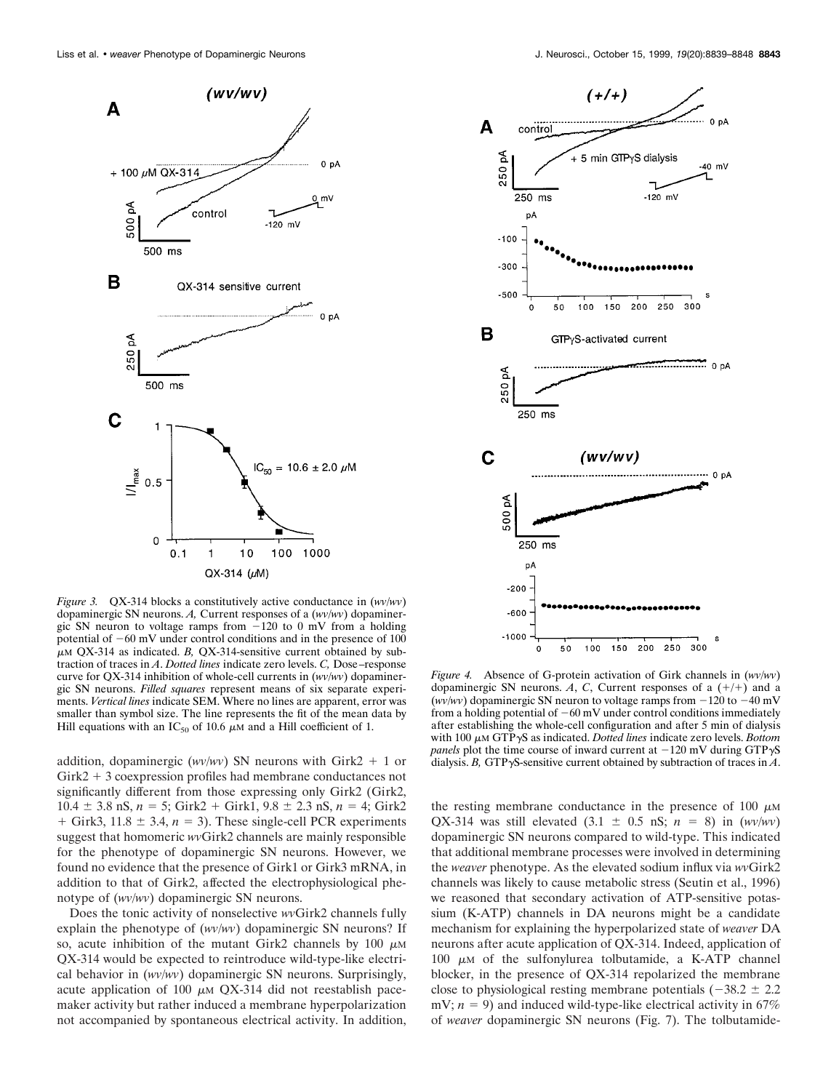

*Figure 3.* QX-314 blocks a constitutively active conductance in (*wv/wv*) dopaminergic SN neurons. *A,* Current responses of a (*wv/wv*) dopaminergic SN neuron to voltage ramps from  $-120$  to 0 mV from a holding potential of  $-60$  mV under control conditions and in the presence of 100  $\mu$ M QX-314 as indicated. *B*, QX-314-sensitive current obtained by subtraction of traces in *A*. *Dotted lines* indicate zero levels. *C,* Dose–response curve for QX-314 inhibition of whole-cell currents in (*wv/wv*) dopaminergic SN neurons. *Filled squares* represent means of six separate experiments. *Vertical lines* indicate SEM. Where no lines are apparent, error was smaller than symbol size. The line represents the fit of the mean data by Hill equations with an IC<sub>50</sub> of 10.6  $\mu$ M and a Hill coefficient of 1.

addition, dopaminergic ( $wv/wy$ ) SN neurons with Girk2 + 1 or  $Girk2 + 3$  coexpression profiles had membrane conductances not significantly different from those expressing only Girk2 (Girk2,  $10.4 \pm 3.8$  nS,  $n = 5$ ; Girk2 + Girk1,  $9.8 \pm 2.3$  nS,  $n = 4$ ; Girk2  $+$  Girk3, 11.8  $\pm$  3.4,  $n = 3$ ). These single-cell PCR experiments suggest that homomeric *wv*Girk2 channels are mainly responsible for the phenotype of dopaminergic SN neurons. However, we found no evidence that the presence of Girk1 or Girk3 mRNA, in addition to that of Girk2, affected the electrophysiological phenotype of (*wv/wv*) dopaminergic SN neurons.

Does the tonic activity of nonselective *wv*Girk2 channels fully explain the phenotype of (*wv/wv*) dopaminergic SN neurons? If so, acute inhibition of the mutant Girk2 channels by 100  $\mu$ M QX-314 would be expected to reintroduce wild-type-like electrical behavior in (*wv/wv*) dopaminergic SN neurons. Surprisingly, acute application of 100  $\mu$ m QX-314 did not reestablish pacemaker activity but rather induced a membrane hyperpolarization not accompanied by spontaneous electrical activity. In addition,



*Figure 4.* Absence of G-protein activation of Girk channels in (*wv/wv*) dopaminergic SN neurons. A, C, Current responses of a  $(+/+)$  and a (*wv/wv*) dopaminergic SN neuron to voltage ramps from  $-120$  to  $-40$  mV from a holding potential of  $-60$  mV under control conditions immediately after establishing the whole-cell configuration and after 5 min of dialysis with 100  $\mu$ m GTP $\gamma$ S as indicated. *Dotted lines* indicate zero levels. *Bottom panels* plot the time course of inward current at  $-120$  mV during GTP $\gamma$ S dialysis. *B*, GTP $\gamma$ S-sensitive current obtained by subtraction of traces in *A*.

the resting membrane conductance in the presence of 100  $\mu$ MM QX-314 was still elevated  $(3.1 \pm 0.5 \text{ nS}; n = 8)$  in  $(wv/ww)$ dopaminergic SN neurons compared to wild-type. This indicated that additional membrane processes were involved in determining the *weaver* phenotype. As the elevated sodium influx via *wv*Girk2 channels was likely to cause metabolic stress (Seutin et al., 1996) we reasoned that secondary activation of ATP-sensitive potassium (K-ATP) channels in DA neurons might be a candidate mechanism for explaining the hyperpolarized state of *weaver* DA neurons after acute application of QX-314. Indeed, application of 100  $\mu$ M of the sulfonylurea tolbutamide, a K-ATP channel blocker, in the presence of QX-314 repolarized the membrane close to physiological resting membrane potentials  $(-38.2 \pm 2.2$ mV;  $n = 9$ ) and induced wild-type-like electrical activity in 67% of *weaver* dopaminergic SN neurons (Fig. 7). The tolbutamide-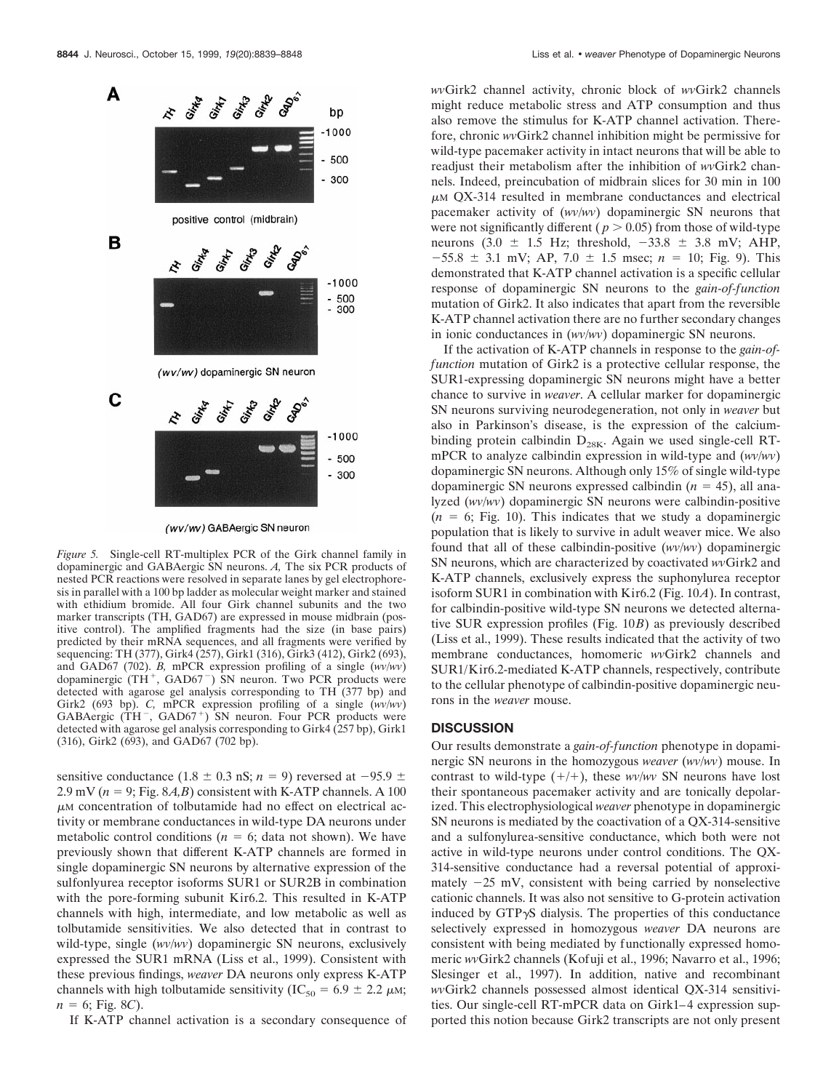

(wv/wv) GABAergic SN neuron

*Figure 5.* Single-cell RT-multiplex PCR of the Girk channel family in dopaminergic and GABAergic SN neurons. *A,* The six PCR products of nested PCR reactions were resolved in separate lanes by gel electrophoresis in parallel with a 100 bp ladder as molecular weight marker and stained with ethidium bromide. All four Girk channel subunits and the two marker transcripts (TH, GAD67) are expressed in mouse midbrain (positive control). The amplified fragments had the size (in base pairs) predicted by their mRNA sequences, and all fragments were verified by sequencing: TH (377), Girk4 (257), Girk1 (316), Girk3 (412), Girk2 (693), and GAD67 (702). *B,* mPCR expression profiling of a single (*wv/wv*) dopaminergic (TH<sup>+</sup>, GAD67<sup>-</sup>) SN neuron. Two PCR products were detected with agarose gel analysis corresponding to TH (377 bp) and Girk2 (693 bp). *C,* mPCR expression profiling of a single (*wv/wv*) GABAergic (TH $^{-}$ , GAD67<sup>+</sup>) SN neuron. Four PCR products were detected with agarose gel analysis corresponding to Girk4 (257 bp), Girk1 (316), Girk2 (693), and GAD67 (702 bp).

sensitive conductance (1.8  $\pm$  0.3 nS; *n* = 9) reversed at -95.9  $\pm$ 2.9 mV ( $n = 9$ ; Fig. 8*A*,*B*) consistent with K-ATP channels. A 100  $\mu$ M concentration of tolbutamide had no effect on electrical activity or membrane conductances in wild-type DA neurons under metabolic control conditions ( $n = 6$ ; data not shown). We have previously shown that different K-ATP channels are formed in single dopaminergic SN neurons by alternative expression of the sulfonlyurea receptor isoforms SUR1 or SUR2B in combination with the pore-forming subunit Kir6.2. This resulted in K-ATP channels with high, intermediate, and low metabolic as well as tolbutamide sensitivities. We also detected that in contrast to wild-type, single (*wv/wv*) dopaminergic SN neurons, exclusively expressed the SUR1 mRNA (Liss et al., 1999). Consistent with these previous findings, *weaver* DA neurons only express K-ATP channels with high tolbutamide sensitivity (IC<sub>50</sub> = 6.9  $\pm$  2.2  $\mu$ M;  $n = 6$ ; Fig. 8*C*).

If K-ATP channel activation is a secondary consequence of

*wv*Girk2 channel activity, chronic block of *wv*Girk2 channels might reduce metabolic stress and ATP consumption and thus also remove the stimulus for K-ATP channel activation. Therefore, chronic *wv*Girk2 channel inhibition might be permissive for wild-type pacemaker activity in intact neurons that will be able to readjust their metabolism after the inhibition of *wv*Girk2 channels. Indeed, preincubation of midbrain slices for 30 min in 100  $\mu$ M QX-314 resulted in membrane conductances and electrical pacemaker activity of (*wv/wv*) dopaminergic SN neurons that were not significantly different ( $p > 0.05$ ) from those of wild-type neurons (3.0  $\pm$  1.5 Hz; threshold,  $-33.8 \pm 3.8$  mV; AHP,  $-55.8 \pm 3.1$  mV; AP,  $7.0 \pm 1.5$  msec;  $n = 10$ ; Fig. 9). This demonstrated that K-ATP channel activation is a specific cellular response of dopaminergic SN neurons to the *gain-of-function* mutation of Girk2. It also indicates that apart from the reversible K-ATP channel activation there are no further secondary changes in ionic conductances in (*wv/wv*) dopaminergic SN neurons.

If the activation of K-ATP channels in response to the *gain-offunction* mutation of Girk2 is a protective cellular response, the SUR1-expressing dopaminergic SN neurons might have a better chance to survive in *weaver*. A cellular marker for dopaminergic SN neurons surviving neurodegeneration, not only in *weaver* but also in Parkinson's disease, is the expression of the calciumbinding protein calbindin  $D_{28K}$ . Again we used single-cell RTmPCR to analyze calbindin expression in wild-type and (*wv/wv*) dopaminergic SN neurons. Although only 15% of single wild-type dopaminergic SN neurons expressed calbindin  $(n = 45)$ , all analyzed (*wv/wv*) dopaminergic SN neurons were calbindin-positive  $(n = 6; Fig. 10)$ . This indicates that we study a dopaminergic population that is likely to survive in adult weaver mice. We also found that all of these calbindin-positive (*wv/wv*) dopaminergic SN neurons, which are characterized by coactivated *wv*Girk2 and K-ATP channels, exclusively express the suphonylurea receptor isoform SUR1 in combination with Kir6.2 (Fig. 10*A*). In contrast, for calbindin-positive wild-type SN neurons we detected alternative SUR expression profiles (Fig. 10*B*) as previously described (Liss et al., 1999). These results indicated that the activity of two membrane conductances, homomeric *wv*Girk2 channels and SUR1/Kir6.2-mediated K-ATP channels, respectively, contribute to the cellular phenotype of calbindin-positive dopaminergic neurons in the *weaver* mouse.

## **DISCUSSION**

Our results demonstrate a *gain-of-function* phenotype in dopaminergic SN neurons in the homozygous *weaver* (*wv/wv*) mouse. In contrast to wild-type  $(+/+)$ , these *wv/wv* SN neurons have lost their spontaneous pacemaker activity and are tonically depolarized. This electrophysiological *weaver* phenotype in dopaminergic SN neurons is mediated by the coactivation of a QX-314-sensitive and a sulfonylurea-sensitive conductance, which both were not active in wild-type neurons under control conditions. The QX-314-sensitive conductance had a reversal potential of approximately  $-25$  mV, consistent with being carried by nonselective cationic channels. It was also not sensitive to G-protein activation induced by  $GTP\gamma S$  dialysis. The properties of this conductance selectively expressed in homozygous *weaver* DA neurons are consistent with being mediated by functionally expressed homomeric *wv*Girk2 channels (Kofuji et al., 1996; Navarro et al., 1996; Slesinger et al., 1997). In addition, native and recombinant *wv*Girk2 channels possessed almost identical QX-314 sensitivities. Our single-cell RT-mPCR data on Girk1–4 expression supported this notion because Girk2 transcripts are not only present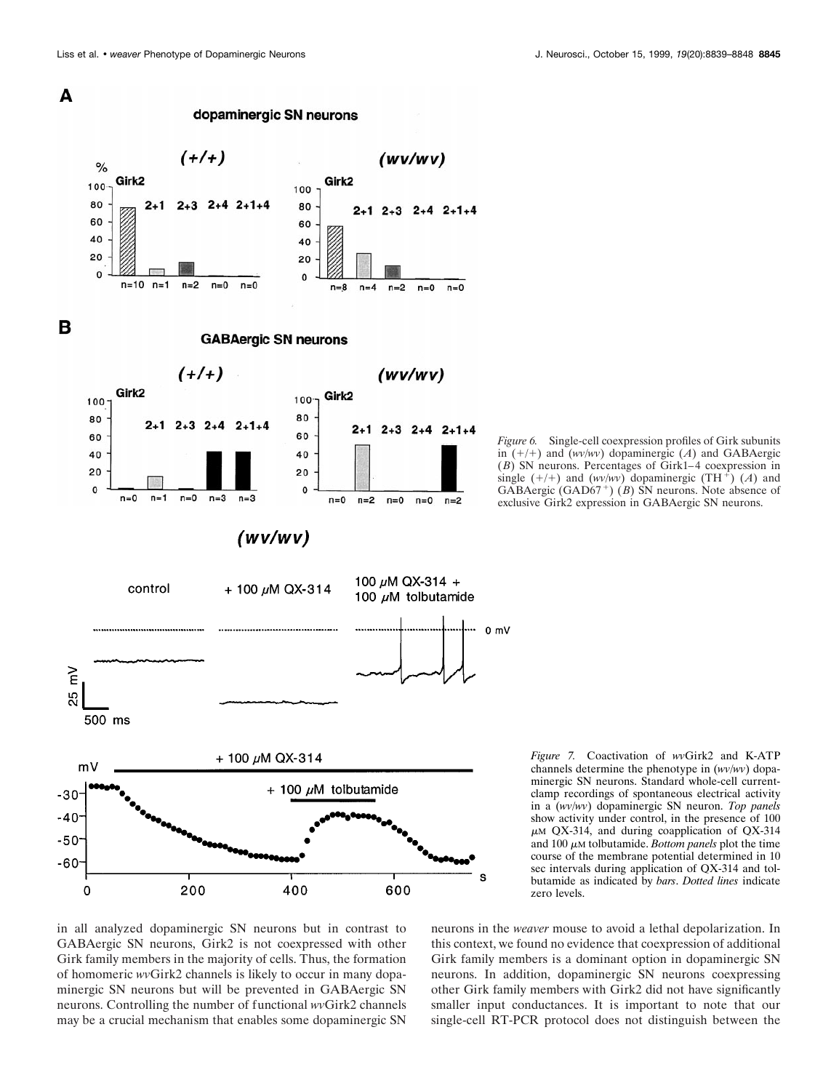

*Figure 6.* Single-cell coexpression profiles of Girk subunits in  $(+/+)$  and  $(wv/ww)$  dopaminergic  $(A)$  and GABAergic (*B*) SN neurons. Percentages of Girk1–4 coexpression in single  $(+/+)$  and  $(wv/ wv)$  dopaminergic  $(TH<sup>+</sup>) (A)$  and GABAergic (GAD67<sup>+</sup>) (*B*) SN neurons. Note absence of exclusive Girk2 expression in GABAergic SN neurons.

*Figure 7.* Coactivation of *wv*Girk2 and K-ATP channels determine the phenotype in (*wv/wv*) dopaminergic SN neurons. Standard whole-cell currentclamp recordings of spontaneous electrical activity in a (*wv/wv*) dopaminergic SN neuron. *Top panels* show activity under control, in the presence of 100  $\mu$ M QX-314, and during coapplication of QX-314 and  $100 \mu$ M tolbutamide. *Bottom panels* plot the time course of the membrane potential determined in 10 sec intervals during application of QX-314 and tolbutamide as indicated by *bars*. *Dotted lines* indicate zero levels.

in all analyzed dopaminergic SN neurons but in contrast to GABAergic SN neurons, Girk2 is not coexpressed with other Girk family members in the majority of cells. Thus, the formation of homomeric *wv*Girk2 channels is likely to occur in many dopaminergic SN neurons but will be prevented in GABAergic SN neurons. Controlling the number of functional *wv*Girk2 channels may be a crucial mechanism that enables some dopaminergic SN

neurons in the *weaver* mouse to avoid a lethal depolarization. In this context, we found no evidence that coexpression of additional Girk family members is a dominant option in dopaminergic SN neurons. In addition, dopaminergic SN neurons coexpressing other Girk family members with Girk2 did not have significantly smaller input conductances. It is important to note that our single-cell RT-PCR protocol does not distinguish between the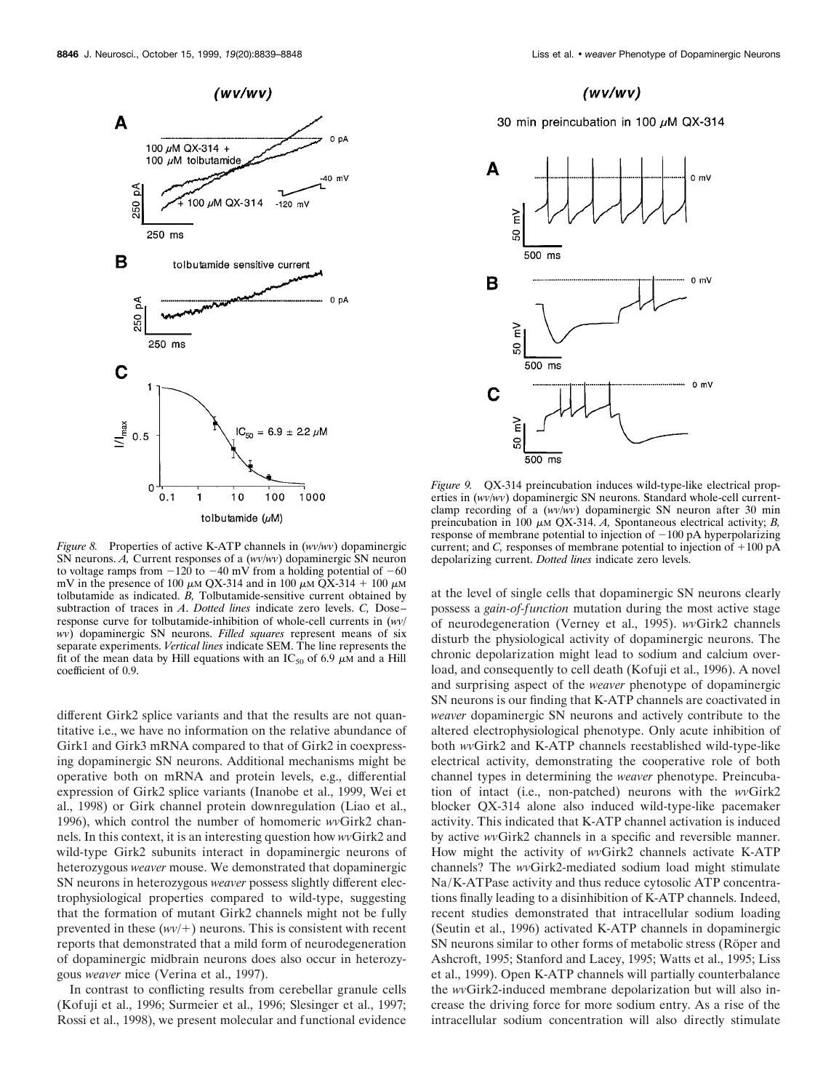

*Figure 8.* Properties of active K-ATP channels in (*wv/wv*) dopaminergic SN neurons. *A,* Current responses of a (*wv/wv*) dopaminergic SN neuron to voltage ramps from  $-120$  to  $-40$  mV from a holding potential of  $-60$ mV in the presence of 100  $\mu$ m QX-314 and in 100  $\mu$ m QX-314 + 100  $\mu$ m tolbutamide as indicated. *B,* Tolbutamide-sensitive current obtained by subtraction of traces in *A*. *Dotted lines* indicate zero levels. *C,* Dose– response curve for tolbutamide-inhibition of whole-cell currents in (*wv/ wv*) dopaminergic SN neurons. *Filled squares* represent means of six separate experiments. *Vertical lines* indicate SEM. The line represents the fit of the mean data by Hill equations with an  $IC_{50}$  of 6.9  $\mu$ M and a Hill coefficient of 0.9.

different Girk2 splice variants and that the results are not quantitative i.e., we have no information on the relative abundance of Girk1 and Girk3 mRNA compared to that of Girk2 in coexpressing dopaminergic SN neurons. Additional mechanisms might be operative both on mRNA and protein levels, e.g., differential expression of Girk2 splice variants (Inanobe et al., 1999, Wei et al., 1998) or Girk channel protein downregulation (Liao et al., 1996), which control the number of homomeric *wv*Girk2 channels. In this context, it is an interesting question how *wv*Girk2 and wild-type Girk2 subunits interact in dopaminergic neurons of heterozygous *weaver* mouse. We demonstrated that dopaminergic SN neurons in heterozygous *weaver* possess slightly different electrophysiological properties compared to wild-type, suggesting that the formation of mutant Girk2 channels might not be fully prevented in these  $(wv/+)$  neurons. This is consistent with recent reports that demonstrated that a mild form of neurodegeneration of dopaminergic midbrain neurons does also occur in heterozygous *weaver* mice (Verina et al., 1997).

In contrast to conflicting results from cerebellar granule cells (Kofuji et al., 1996; Surmeier et al., 1996; Slesinger et al., 1997; Rossi et al., 1998), we present molecular and functional evidence

### $(wv/wv)$

### 30 min preincubation in 100  $\mu$ M QX-314



*Figure 9.* QX-314 preincubation induces wild-type-like electrical properties in (*wv/wv*) dopaminergic SN neurons. Standard whole-cell currentclamp recording of a (*wv/wv*) dopaminergic SN neuron after 30 min preincubation in 100  $\mu$ M QX-314. *A*, Spontaneous electrical activity; *B*, response of membrane potential to injection of  $-100$  pA hyperpolarizing current; and *C*, responses of membrane potential to injection of  $+100 \text{ pA}$ depolarizing current. *Dotted lines* indicate zero levels.

at the level of single cells that dopaminergic SN neurons clearly possess a *gain-of-function* mutation during the most active stage of neurodegeneration (Verney et al., 1995). *wv*Girk2 channels disturb the physiological activity of dopaminergic neurons. The chronic depolarization might lead to sodium and calcium overload, and consequently to cell death (Kofuji et al., 1996). A novel and surprising aspect of the *weaver* phenotype of dopaminergic SN neurons is our finding that K-ATP channels are coactivated in *weaver* dopaminergic SN neurons and actively contribute to the altered electrophysiological phenotype. Only acute inhibition of both *wv*Girk2 and K-ATP channels reestablished wild-type-like electrical activity, demonstrating the cooperative role of both channel types in determining the *weaver* phenotype. Preincubation of intact (i.e., non-patched) neurons with the *wv*Girk2 blocker QX-314 alone also induced wild-type-like pacemaker activity. This indicated that K-ATP channel activation is induced by active *wv*Girk2 channels in a specific and reversible manner. How might the activity of *wv*Girk2 channels activate K-ATP channels? The *wv*Girk2-mediated sodium load might stimulate Na/K-ATPase activity and thus reduce cytosolic ATP concentrations finally leading to a disinhibition of K-ATP channels. Indeed, recent studies demonstrated that intracellular sodium loading (Seutin et al., 1996) activated K-ATP channels in dopaminergic SN neurons similar to other forms of metabolic stress (Röper and Ashcroft, 1995; Stanford and Lacey, 1995; Watts et al., 1995; Liss et al., 1999). Open K-ATP channels will partially counterbalance the *wv*Girk2-induced membrane depolarization but will also increase the driving force for more sodium entry. As a rise of the intracellular sodium concentration will also directly stimulate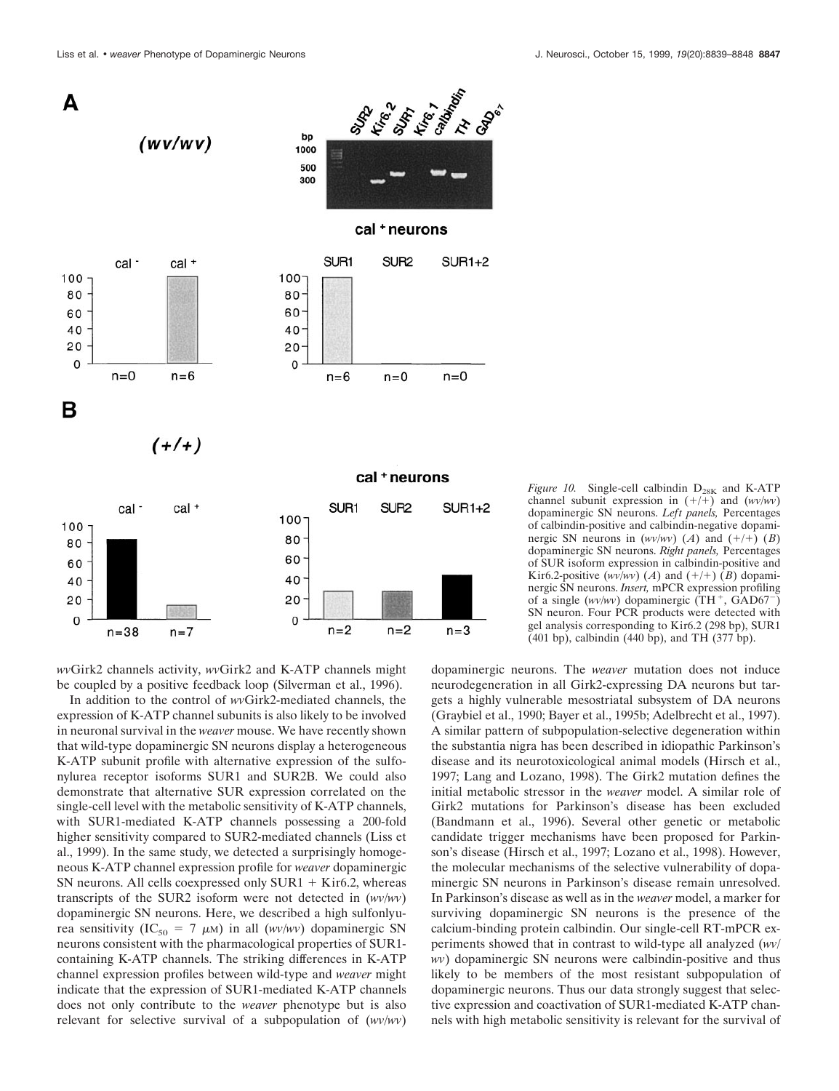

*wv*Girk2 channels activity, *wv*Girk2 and K-ATP channels might be coupled by a positive feedback loop (Silverman et al., 1996).

In addition to the control of *wv*Girk2-mediated channels, the expression of K-ATP channel subunits is also likely to be involved in neuronal survival in the *weaver* mouse. We have recently shown that wild-type dopaminergic SN neurons display a heterogeneous K-ATP subunit profile with alternative expression of the sulfonylurea receptor isoforms SUR1 and SUR2B. We could also demonstrate that alternative SUR expression correlated on the single-cell level with the metabolic sensitivity of K-ATP channels, with SUR1-mediated K-ATP channels possessing a 200-fold higher sensitivity compared to SUR2-mediated channels (Liss et al., 1999). In the same study, we detected a surprisingly homogeneous K-ATP channel expression profile for *weaver* dopaminergic SN neurons. All cells coexpressed only  $SUR1 + Kir6.2$ , whereas transcripts of the SUR2 isoform were not detected in (*wv/wv*) dopaminergic SN neurons. Here, we described a high sulfonlyurea sensitivity (IC<sub>50</sub> = 7  $\mu$ M) in all (*wv/wv*) dopaminergic SN neurons consistent with the pharmacological properties of SUR1 containing K-ATP channels. The striking differences in K-ATP channel expression profiles between wild-type and *weaver* might indicate that the expression of SUR1-mediated K-ATP channels does not only contribute to the *weaver* phenotype but is also relevant for selective survival of a subpopulation of (*wv/wv*)

*Figure 10.* Single-cell calbindin  $D_{28K}$  and K-ATP channel subunit expression in  $(+/+)$  and  $(wv/ww)$ dopaminergic SN neurons. *Left panels,* Percentages of calbindin-positive and calbindin-negative dopaminergic SN neurons in  $(wv/ww)$  (*A*) and  $(+/+)$  (*B*) dopaminergic SN neurons. *Right panels,* Percentages of SUR isoform expression in calbindin-positive and Kir6.2-positive ( $wv/wy$ ) (*A*) and ( $+$ / $+$ ) (*B*) dopaminergic SN neurons. *Insert,* mPCR expression profiling of a single  $(wv/ wv)$  dopaminergic  $(TH^+, GAD67^-)$ SN neuron. Four PCR products were detected with gel analysis corresponding to Kir6.2 (298 bp), SUR1  $(401$  bp), calbindin  $(440$  bp), and TH  $(377$  bp).

dopaminergic neurons. The *weaver* mutation does not induce neurodegeneration in all Girk2-expressing DA neurons but targets a highly vulnerable mesostriatal subsystem of DA neurons (Graybiel et al., 1990; Bayer et al., 1995b; Adelbrecht et al., 1997). A similar pattern of subpopulation-selective degeneration within the substantia nigra has been described in idiopathic Parkinson's disease and its neurotoxicological animal models (Hirsch et al., 1997; Lang and Lozano, 1998). The Girk2 mutation defines the initial metabolic stressor in the *weaver* model. A similar role of Girk2 mutations for Parkinson's disease has been excluded (Bandmann et al., 1996). Several other genetic or metabolic candidate trigger mechanisms have been proposed for Parkinson's disease (Hirsch et al., 1997; Lozano et al., 1998). However, the molecular mechanisms of the selective vulnerability of dopaminergic SN neurons in Parkinson's disease remain unresolved. In Parkinson's disease as well as in the *weaver* model, a marker for surviving dopaminergic SN neurons is the presence of the calcium-binding protein calbindin. Our single-cell RT-mPCR experiments showed that in contrast to wild-type all analyzed (*wv/ wv*) dopaminergic SN neurons were calbindin-positive and thus likely to be members of the most resistant subpopulation of dopaminergic neurons. Thus our data strongly suggest that selective expression and coactivation of SUR1-mediated K-ATP channels with high metabolic sensitivity is relevant for the survival of